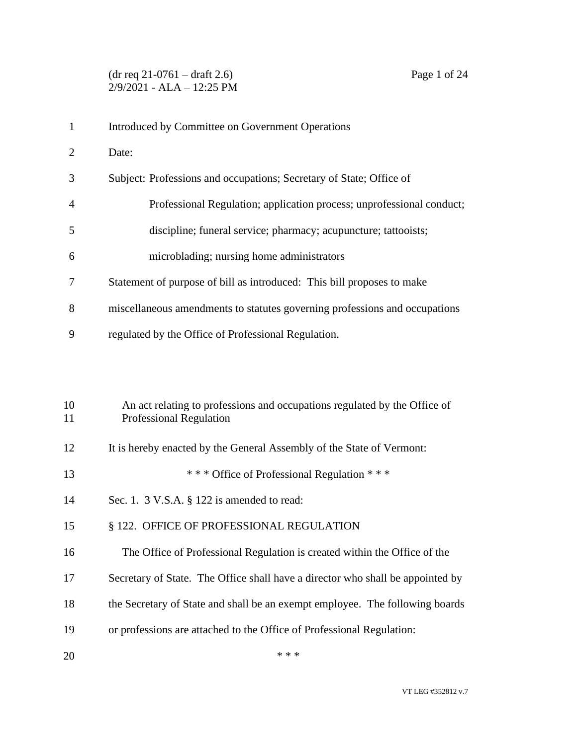| $\mathbf{1}$   | Introduced by Committee on Government Operations                           |
|----------------|----------------------------------------------------------------------------|
| 2              | Date:                                                                      |
| 3              | Subject: Professions and occupations; Secretary of State; Office of        |
| $\overline{A}$ | Professional Regulation; application process; unprofessional conduct;      |
| 5              | discipline; funeral service; pharmacy; acupuncture; tattooists;            |
| 6              | microblading; nursing home administrators                                  |
| 7              | Statement of purpose of bill as introduced: This bill proposes to make     |
| 8              | miscellaneous amendments to statutes governing professions and occupations |
| 9              | regulated by the Office of Professional Regulation.                        |

| 10 | An act relating to professions and occupations regulated by the Office of      |
|----|--------------------------------------------------------------------------------|
| 11 | <b>Professional Regulation</b>                                                 |
| 12 | It is hereby enacted by the General Assembly of the State of Vermont:          |
| 13 | *** Office of Professional Regulation ***                                      |
| 14 | Sec. 1. $3$ V.S.A. $\S$ 122 is amended to read:                                |
| 15 | § 122. OFFICE OF PROFESSIONAL REGULATION                                       |
| 16 | The Office of Professional Regulation is created within the Office of the      |
| 17 | Secretary of State. The Office shall have a director who shall be appointed by |
| 18 | the Secretary of State and shall be an exempt employee. The following boards   |
| 19 | or professions are attached to the Office of Professional Regulation:<br>* * * |
| 20 |                                                                                |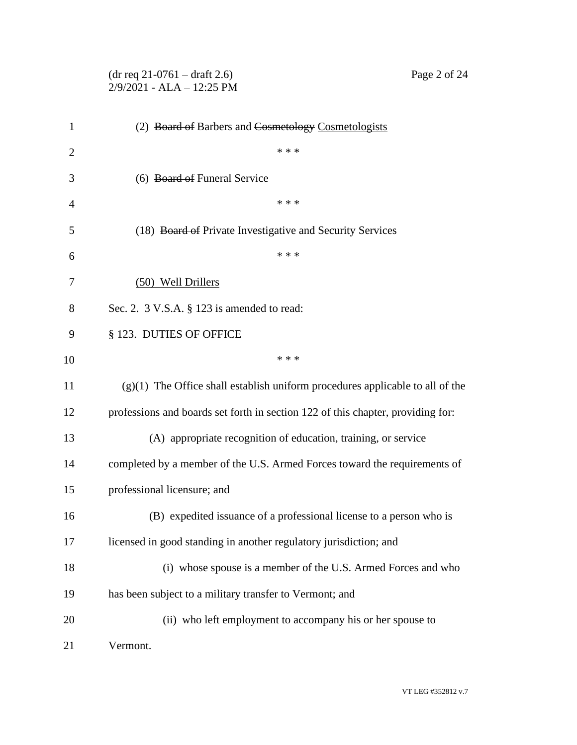|                | $(dr \text{ req } 21-0761 - draft 2.6)$<br>Page 2 of 24<br>$2/9/2021$ - ALA - 12:25 PM |
|----------------|----------------------------------------------------------------------------------------|
| 1              | (2) Board of Barbers and Cosmetology Cosmetologists                                    |
| $\overline{2}$ | * * *                                                                                  |
| 3              | (6) Board of Funeral Service                                                           |
| $\overline{4}$ | * * *                                                                                  |
| 5              | (18) Board of Private Investigative and Security Services                              |
| 6              | * * *                                                                                  |
| 7              | (50) Well Drillers                                                                     |
| 8              | Sec. 2. $3$ V.S.A. $\S$ 123 is amended to read:                                        |
| 9              | § 123. DUTIES OF OFFICE                                                                |
| 10             | * * *                                                                                  |
| 11             | $(g)(1)$ The Office shall establish uniform procedures applicable to all of the        |
| 12             | professions and boards set forth in section 122 of this chapter, providing for:        |
| 13             | (A) appropriate recognition of education, training, or service                         |
| 14             | completed by a member of the U.S. Armed Forces toward the requirements of              |
| 15             | professional licensure; and                                                            |
| 16             | (B) expedited issuance of a professional license to a person who is                    |
| 17             | licensed in good standing in another regulatory jurisdiction; and                      |
| 18             | (i) whose spouse is a member of the U.S. Armed Forces and who                          |
| 19             | has been subject to a military transfer to Vermont; and                                |
| 20             | (ii) who left employment to accompany his or her spouse to                             |
| 21             | Vermont.                                                                               |

VT LEG #352812 v.7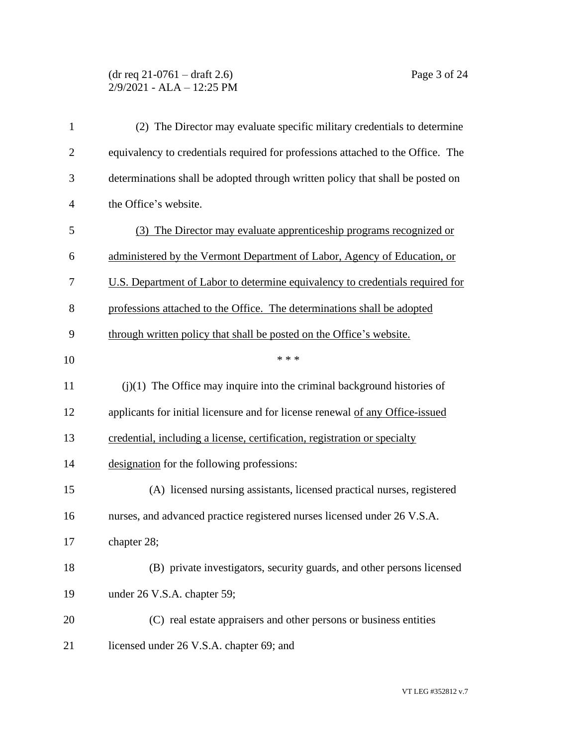### (dr req 21-0761 – draft 2.6) Page 3 of 24 2/9/2021 - ALA – 12:25 PM

| $\mathbf{1}$   | (2) The Director may evaluate specific military credentials to determine        |
|----------------|---------------------------------------------------------------------------------|
| $\overline{2}$ | equivalency to credentials required for professions attached to the Office. The |
| 3              | determinations shall be adopted through written policy that shall be posted on  |
| $\overline{4}$ | the Office's website.                                                           |
| 5              | (3) The Director may evaluate apprenticeship programs recognized or             |
| 6              | administered by the Vermont Department of Labor, Agency of Education, or        |
| 7              | U.S. Department of Labor to determine equivalency to credentials required for   |
| 8              | professions attached to the Office. The determinations shall be adopted         |
| 9              | through written policy that shall be posted on the Office's website.            |
| 10             | * * *                                                                           |
| 11             | $(j)(1)$ The Office may inquire into the criminal background histories of       |
| 12             | applicants for initial licensure and for license renewal of any Office-issued   |
| 13             | credential, including a license, certification, registration or specialty       |
| 14             | designation for the following professions:                                      |
| 15             | (A) licensed nursing assistants, licensed practical nurses, registered          |
| 16             | nurses, and advanced practice registered nurses licensed under 26 V.S.A.        |
| 17             | chapter 28;                                                                     |
| 18             | (B) private investigators, security guards, and other persons licensed          |
| 19             | under 26 V.S.A. chapter 59;                                                     |
| 20             | (C) real estate appraisers and other persons or business entities               |
| 21             | licensed under 26 V.S.A. chapter 69; and                                        |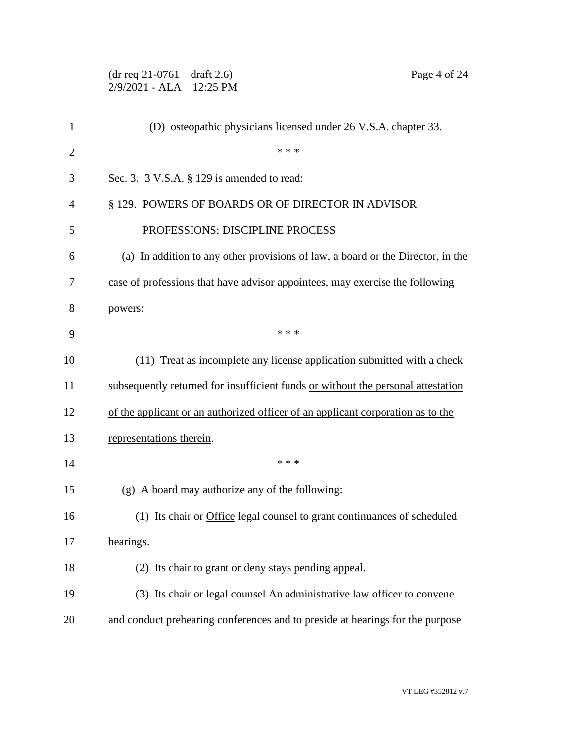|                | $(dr \text{ req } 21-0761 - draft 2.6)$<br>Page 4 of 24<br>2/9/2021 - ALA - 12:25 PM |
|----------------|--------------------------------------------------------------------------------------|
| $\mathbf{1}$   | (D) osteopathic physicians licensed under 26 V.S.A. chapter 33.                      |
| $\overline{2}$ | * * *                                                                                |
| 3              | Sec. 3. $3$ V.S.A. $\S$ 129 is amended to read:                                      |
| 4              | § 129. POWERS OF BOARDS OR OF DIRECTOR IN ADVISOR                                    |
| 5              | PROFESSIONS; DISCIPLINE PROCESS                                                      |
| 6              | (a) In addition to any other provisions of law, a board or the Director, in the      |
| 7              | case of professions that have advisor appointees, may exercise the following         |
| 8              | powers:                                                                              |
| 9              | * * *                                                                                |
| 10             | (11) Treat as incomplete any license application submitted with a check              |
| 11             | subsequently returned for insufficient funds or without the personal attestation     |
| 12             | of the applicant or an authorized officer of an applicant corporation as to the      |
| 13             | representations therein.                                                             |
| 14             | * * *                                                                                |
| 15             | (g) A board may authorize any of the following:                                      |
| 16             | (1) Its chair or Office legal counsel to grant continuances of scheduled             |
| 17             | hearings.                                                                            |
| 18             | (2) Its chair to grant or deny stays pending appeal.                                 |
| 19             | (3) Its chair or legal counsel An administrative law officer to convene              |
| 20             | and conduct prehearing conferences and to preside at hearings for the purpose        |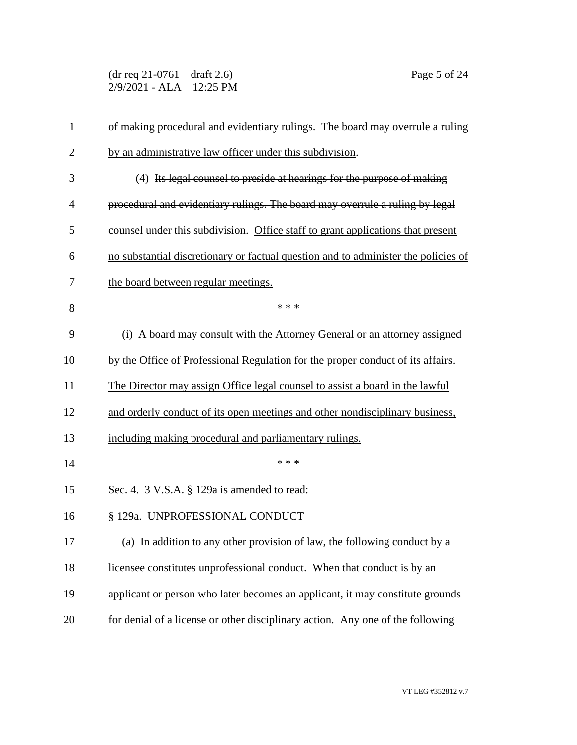(dr req 21-0761 – draft 2.6) Page 5 of 24 2/9/2021 - ALA – 12:25 PM

| $\mathbf{1}$   | of making procedural and evidentiary rulings. The board may overrule a ruling      |
|----------------|------------------------------------------------------------------------------------|
| $\overline{2}$ | by an administrative law officer under this subdivision.                           |
| 3              | (4) Its legal counsel to preside at hearings for the purpose of making             |
| $\overline{4}$ | procedural and evidentiary rulings. The board may overrule a ruling by legal       |
| 5              | counsel under this subdivision. Office staff to grant applications that present    |
| 6              | no substantial discretionary or factual question and to administer the policies of |
| 7              | the board between regular meetings.                                                |
| 8              | * * *                                                                              |
| 9              | (i) A board may consult with the Attorney General or an attorney assigned          |
| 10             | by the Office of Professional Regulation for the proper conduct of its affairs.    |
| 11             | The Director may assign Office legal counsel to assist a board in the lawful       |
| 12             | and orderly conduct of its open meetings and other nondisciplinary business,       |
| 13             | including making procedural and parliamentary rulings.                             |
| 14             | * * *                                                                              |
| 15             | Sec. 4. 3 V.S.A. § 129a is amended to read:                                        |
| 16             | § 129a. UNPROFESSIONAL CONDUCT                                                     |
| 17             | (a) In addition to any other provision of law, the following conduct by a          |
| 18             | licensee constitutes unprofessional conduct. When that conduct is by an            |
| 19             | applicant or person who later becomes an applicant, it may constitute grounds      |
| 20             | for denial of a license or other disciplinary action. Any one of the following     |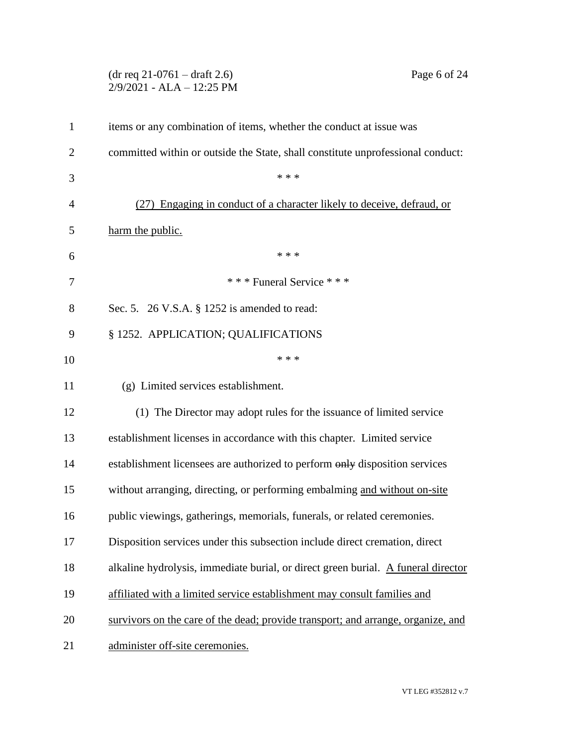|                | Page 6 of 24<br>$(dr \text{ req } 21-0761 - draft 2.6)$<br>2/9/2021 - ALA - 12:25 PM |
|----------------|--------------------------------------------------------------------------------------|
| $\mathbf{1}$   | items or any combination of items, whether the conduct at issue was                  |
| $\overline{2}$ | committed within or outside the State, shall constitute unprofessional conduct:      |
| 3              | * * *                                                                                |
| 4              | (27) Engaging in conduct of a character likely to deceive, defraud, or               |
| 5              | harm the public.                                                                     |
| 6              | * * *                                                                                |
| 7              | *** Funeral Service ***                                                              |
| 8              | Sec. 5. 26 V.S.A. § 1252 is amended to read:                                         |
| 9              | § 1252. APPLICATION; QUALIFICATIONS                                                  |
| 10             | * * *                                                                                |
| 11             | (g) Limited services establishment.                                                  |
| 12             | (1) The Director may adopt rules for the issuance of limited service                 |
| 13             | establishment licenses in accordance with this chapter. Limited service              |
| 14             | establishment licensees are authorized to perform only disposition services          |
| 15             | without arranging, directing, or performing embalming and without on-site            |
| 16             | public viewings, gatherings, memorials, funerals, or related ceremonies.             |
| 17             | Disposition services under this subsection include direct cremation, direct          |
| 18             | alkaline hydrolysis, immediate burial, or direct green burial. A funeral director    |
| 19             | affiliated with a limited service establishment may consult families and             |
| 20             | survivors on the care of the dead; provide transport; and arrange, organize, and     |
| 21             | administer off-site ceremonies.                                                      |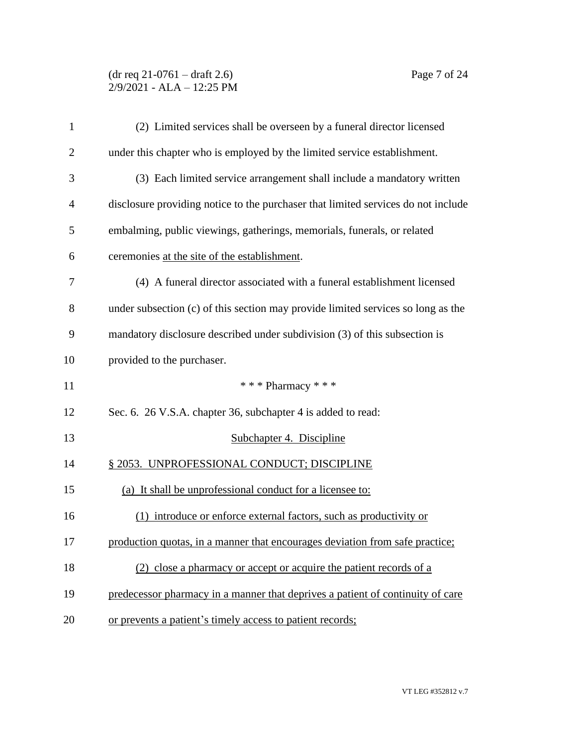## (dr req 21-0761 – draft 2.6) Page 7 of 24 2/9/2021 - ALA – 12:25 PM

| 1              | (2) Limited services shall be overseen by a funeral director licensed             |
|----------------|-----------------------------------------------------------------------------------|
| $\overline{c}$ | under this chapter who is employed by the limited service establishment.          |
| 3              | (3) Each limited service arrangement shall include a mandatory written            |
| 4              | disclosure providing notice to the purchaser that limited services do not include |
| 5              | embalming, public viewings, gatherings, memorials, funerals, or related           |
| 6              | ceremonies at the site of the establishment.                                      |
| 7              | (4) A funeral director associated with a funeral establishment licensed           |
| 8              | under subsection (c) of this section may provide limited services so long as the  |
| 9              | mandatory disclosure described under subdivision (3) of this subsection is        |
| 10             | provided to the purchaser.                                                        |
| 11             | *** Pharmacy ***                                                                  |
|                |                                                                                   |
| 12             | Sec. 6. 26 V.S.A. chapter 36, subchapter 4 is added to read:                      |
| 13             | Subchapter 4. Discipline                                                          |
| 14             | § 2053. UNPROFESSIONAL CONDUCT; DISCIPLINE                                        |
| 15             | (a) It shall be unprofessional conduct for a licensee to:                         |
| 16             | (1) introduce or enforce external factors, such as productivity or                |
| 17             | production quotas, in a manner that encourages deviation from safe practice;      |
| 18             | (2) close a pharmacy or accept or acquire the patient records of a                |
| 19             | predecessor pharmacy in a manner that deprives a patient of continuity of care    |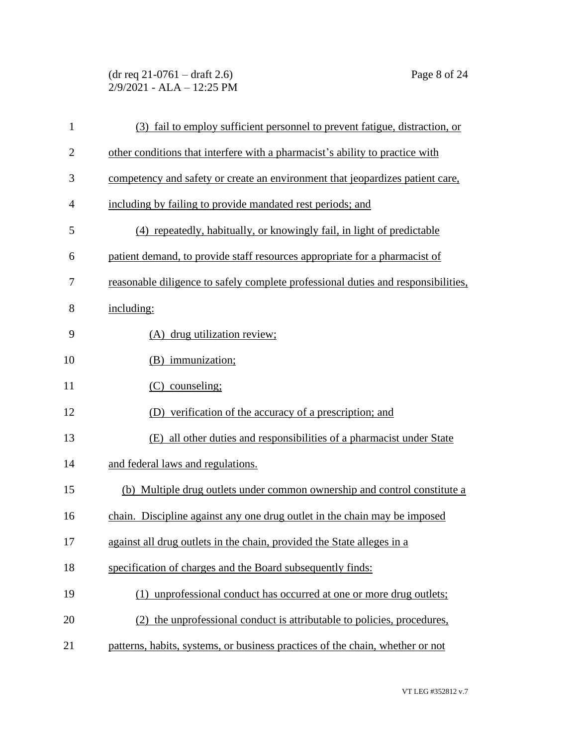(dr req 21-0761 – draft 2.6) Page 8 of 24 2/9/2021 - ALA – 12:25 PM

| $\mathbf{1}$   | (3) fail to employ sufficient personnel to prevent fatigue, distraction, or       |
|----------------|-----------------------------------------------------------------------------------|
| $\overline{2}$ | other conditions that interfere with a pharmacist's ability to practice with      |
| 3              | competency and safety or create an environment that jeopardizes patient care,     |
| $\overline{4}$ | including by failing to provide mandated rest periods; and                        |
| 5              | (4) repeatedly, habitually, or knowingly fail, in light of predictable            |
| 6              | patient demand, to provide staff resources appropriate for a pharmacist of        |
| 7              | reasonable diligence to safely complete professional duties and responsibilities, |
| 8              | including:                                                                        |
| 9              | (A) drug utilization review;                                                      |
| 10             | (B) immunization;                                                                 |
| 11             | $(C)$ counseling;                                                                 |
| 12             | (D) verification of the accuracy of a prescription; and                           |
| 13             | (E) all other duties and responsibilities of a pharmacist under State             |
| 14             | and federal laws and regulations.                                                 |
| 15             | (b) Multiple drug outlets under common ownership and control constitute a         |
| 16             | chain. Discipline against any one drug outlet in the chain may be imposed         |
| 17             | against all drug outlets in the chain, provided the State alleges in a            |
| 18             | specification of charges and the Board subsequently finds:                        |
| 19             | (1) unprofessional conduct has occurred at one or more drug outlets;              |
| 20             | (2) the unprofessional conduct is attributable to policies, procedures,           |
| 21             | patterns, habits, systems, or business practices of the chain, whether or not     |
|                |                                                                                   |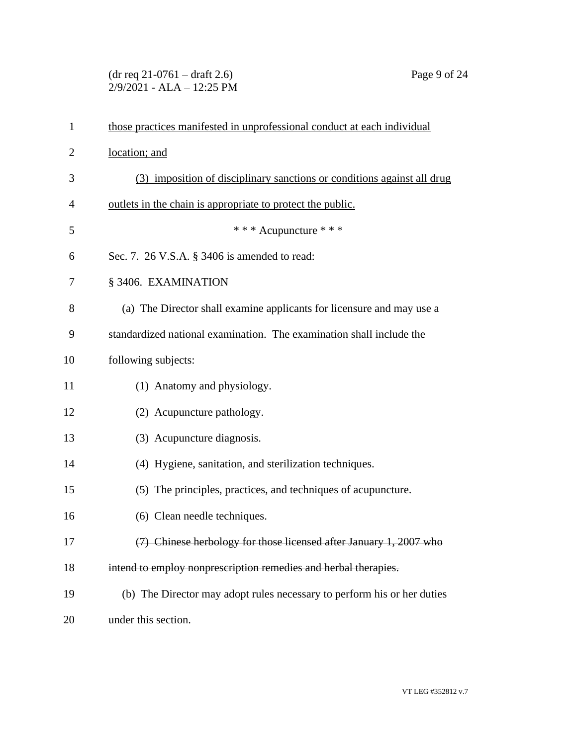## (dr req 21-0761 – draft 2.6) Page 9 of 24 2/9/2021 - ALA – 12:25 PM

| $\mathbf{1}$   | those practices manifested in unprofessional conduct at each individual |
|----------------|-------------------------------------------------------------------------|
| $\overline{2}$ | location; and                                                           |
| 3              | (3) imposition of disciplinary sanctions or conditions against all drug |
| $\overline{4}$ | outlets in the chain is appropriate to protect the public.              |
| 5              | * * * Acupuncture * * *                                                 |
| 6              | Sec. 7. 26 V.S.A. § 3406 is amended to read:                            |
| 7              | § 3406. EXAMINATION                                                     |
| 8              | (a) The Director shall examine applicants for licensure and may use a   |
| 9              | standardized national examination. The examination shall include the    |
| 10             | following subjects:                                                     |
| 11             | (1) Anatomy and physiology.                                             |
| 12             | (2) Acupuncture pathology.                                              |
| 13             | (3) Acupuncture diagnosis.                                              |
| 14             | (4) Hygiene, sanitation, and sterilization techniques.                  |
| 15             | (5) The principles, practices, and techniques of acupuncture.           |
| 16             | (6) Clean needle techniques.                                            |
| 17             | (7) Chinese herbology for those licensed after January 1, 2007 who      |
| 18             | intend to employ nonprescription remedies and herbal therapies.         |
| 19             | (b) The Director may adopt rules necessary to perform his or her duties |
| 20             | under this section.                                                     |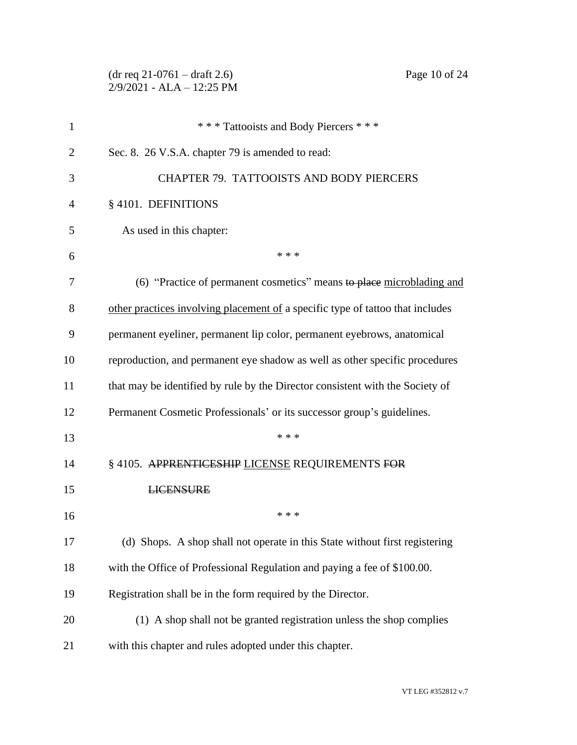# (dr req 21-0761 – draft 2.6) Page 10 of 24 2/9/2021 - ALA – 12:25 PM

| 1  | *** Tattooists and Body Piercers ***                                           |
|----|--------------------------------------------------------------------------------|
| 2  | Sec. 8. 26 V.S.A. chapter 79 is amended to read:                               |
| 3  | <b>CHAPTER 79. TATTOOISTS AND BODY PIERCERS</b>                                |
| 4  | § 4101. DEFINITIONS                                                            |
| 5  | As used in this chapter:                                                       |
| 6  | * * *                                                                          |
| 7  | (6) "Practice of permanent cosmetics" means to place microblading and          |
| 8  | other practices involving placement of a specific type of tattoo that includes |
| 9  | permanent eyeliner, permanent lip color, permanent eyebrows, anatomical        |
| 10 | reproduction, and permanent eye shadow as well as other specific procedures    |
| 11 | that may be identified by rule by the Director consistent with the Society of  |
| 12 | Permanent Cosmetic Professionals' or its successor group's guidelines.         |
| 13 | * * *                                                                          |
| 14 | § 4105. APPRENTICESHIP LICENSE REQUIREMENTS FOR                                |
| 15 | <b>LICENSURE</b>                                                               |
| 16 | * * *                                                                          |
| 17 | (d) Shops. A shop shall not operate in this State without first registering    |
| 18 | with the Office of Professional Regulation and paying a fee of \$100.00.       |
| 19 | Registration shall be in the form required by the Director.                    |
| 20 | (1) A shop shall not be granted registration unless the shop complies          |
| 21 | with this chapter and rules adopted under this chapter.                        |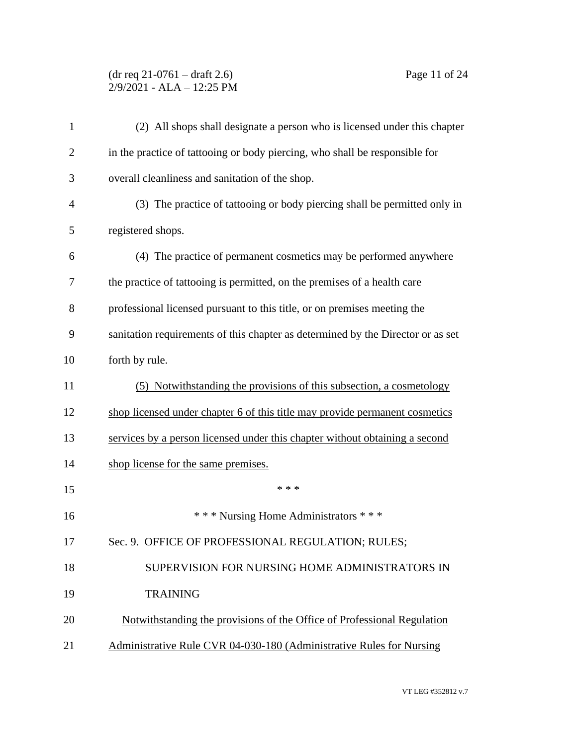### (dr req 21-0761 – draft 2.6) Page 11 of 24 2/9/2021 - ALA – 12:25 PM

| $\mathbf{1}$   | (2) All shops shall designate a person who is licensed under this chapter       |
|----------------|---------------------------------------------------------------------------------|
| $\overline{2}$ | in the practice of tattooing or body piercing, who shall be responsible for     |
| 3              | overall cleanliness and sanitation of the shop.                                 |
| $\overline{4}$ | (3) The practice of tattooing or body piercing shall be permitted only in       |
| 5              | registered shops.                                                               |
| 6              | (4) The practice of permanent cosmetics may be performed anywhere               |
| 7              | the practice of tattooing is permitted, on the premises of a health care        |
| 8              | professional licensed pursuant to this title, or on premises meeting the        |
| 9              | sanitation requirements of this chapter as determined by the Director or as set |
| 10             | forth by rule.                                                                  |
| 11             | (5) Notwithstanding the provisions of this subsection, a cosmetology            |
| 12             | shop licensed under chapter 6 of this title may provide permanent cosmetics     |
| 13             | services by a person licensed under this chapter without obtaining a second     |
| 14             | shop license for the same premises.                                             |
| 15             | * * *                                                                           |
| 16             | *** Nursing Home Administrators ***                                             |
| 17             | Sec. 9. OFFICE OF PROFESSIONAL REGULATION; RULES;                               |
| 18             | SUPERVISION FOR NURSING HOME ADMINISTRATORS IN                                  |
| 19             | <b>TRAINING</b>                                                                 |
| 20             | Notwithstanding the provisions of the Office of Professional Regulation         |
| 21             | Administrative Rule CVR 04-030-180 (Administrative Rules for Nursing            |
|                |                                                                                 |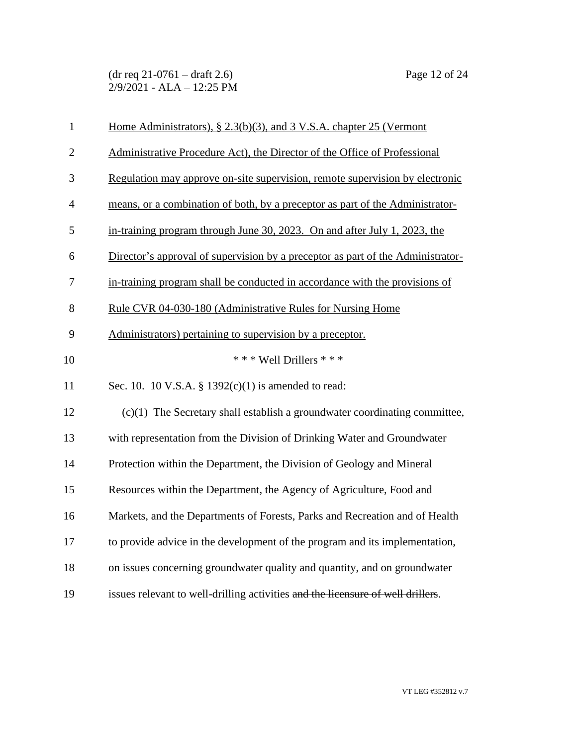| $\mathbf{1}$   | Home Administrators), § 2.3(b)(3), and 3 V.S.A. chapter 25 (Vermont             |
|----------------|---------------------------------------------------------------------------------|
| $\overline{2}$ | Administrative Procedure Act), the Director of the Office of Professional       |
| 3              | Regulation may approve on-site supervision, remote supervision by electronic    |
| $\overline{4}$ | means, or a combination of both, by a preceptor as part of the Administrator-   |
| 5              | in-training program through June 30, 2023. On and after July 1, 2023, the       |
| 6              | Director's approval of supervision by a preceptor as part of the Administrator- |
| $\overline{7}$ | in-training program shall be conducted in accordance with the provisions of     |
| $8\,$          | Rule CVR 04-030-180 (Administrative Rules for Nursing Home                      |
| 9              | Administrators) pertaining to supervision by a preceptor.                       |
| 10             | *** Well Drillers ***                                                           |
| 11             | Sec. 10. 10 V.S.A. § $1392(c)(1)$ is amended to read:                           |
| 12             | $(c)(1)$ The Secretary shall establish a groundwater coordinating committee,    |
| 13             | with representation from the Division of Drinking Water and Groundwater         |
| 14             | Protection within the Department, the Division of Geology and Mineral           |
| 15             | Resources within the Department, the Agency of Agriculture, Food and            |
| 16             | Markets, and the Departments of Forests, Parks and Recreation and of Health     |
| 17             | to provide advice in the development of the program and its implementation,     |
| 18             | on issues concerning groundwater quality and quantity, and on groundwater       |
| 19             | issues relevant to well-drilling activities and the licensure of well drillers. |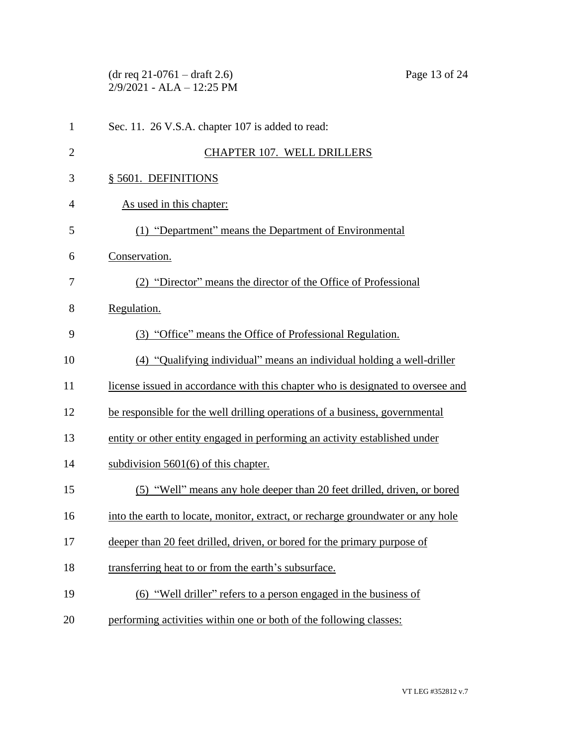|                | $(dr \text{ req } 21-0761 - draft 2.6)$<br>$2/9/2021$ - ALA - 12:25 PM          | Page 13 of 24 |
|----------------|---------------------------------------------------------------------------------|---------------|
| $\mathbf{1}$   | Sec. 11. 26 V.S.A. chapter 107 is added to read:                                |               |
| $\overline{2}$ | <b>CHAPTER 107. WELL DRILLERS</b>                                               |               |
| 3              | § 5601. DEFINITIONS                                                             |               |
| 4              | As used in this chapter:                                                        |               |
| 5              | (1) "Department" means the Department of Environmental                          |               |
| 6              | Conservation.                                                                   |               |
| 7              | (2) "Director" means the director of the Office of Professional                 |               |
| 8              | Regulation.                                                                     |               |
| 9              | (3) "Office" means the Office of Professional Regulation.                       |               |
| 10             | (4) "Qualifying individual" means an individual holding a well-driller          |               |
| 11             | license issued in accordance with this chapter who is designated to oversee and |               |
| 12             | be responsible for the well drilling operations of a business, governmental     |               |
| 13             | entity or other entity engaged in performing an activity established under      |               |
| 14             | subdivision 5601(6) of this chapter.                                            |               |
| 15             | (5) "Well" means any hole deeper than 20 feet drilled, driven, or bored         |               |
| 16             | into the earth to locate, monitor, extract, or recharge groundwater or any hole |               |
| 17             | deeper than 20 feet drilled, driven, or bored for the primary purpose of        |               |
| 18             | transferring heat to or from the earth's subsurface.                            |               |
| 19             | (6) "Well driller" refers to a person engaged in the business of                |               |
| 20             | performing activities within one or both of the following classes:              |               |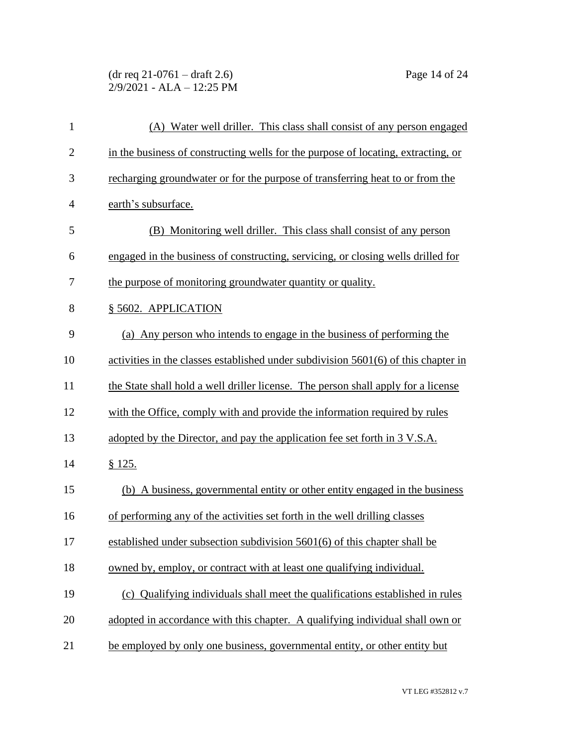### (dr req 21-0761 – draft 2.6) Page 14 of 24 2/9/2021 - ALA – 12:25 PM

| $\mathbf{1}$   | (A) Water well driller. This class shall consist of any person engaged               |
|----------------|--------------------------------------------------------------------------------------|
| $\overline{2}$ | in the business of constructing wells for the purpose of locating, extracting, or    |
| 3              | recharging groundwater or for the purpose of transferring heat to or from the        |
| $\overline{4}$ | earth's subsurface.                                                                  |
| 5              | (B) Monitoring well driller. This class shall consist of any person                  |
| 6              | engaged in the business of constructing, servicing, or closing wells drilled for     |
| 7              | the purpose of monitoring groundwater quantity or quality.                           |
| 8              | § 5602. APPLICATION                                                                  |
| 9              | (a) Any person who intends to engage in the business of performing the               |
| 10             | activities in the classes established under subdivision $5601(6)$ of this chapter in |
| 11             | the State shall hold a well driller license. The person shall apply for a license    |
| 12             | with the Office, comply with and provide the information required by rules           |
| 13             | adopted by the Director, and pay the application fee set forth in 3 V.S.A.           |
| 14             | § 125.                                                                               |
| 15             | (b) A business, governmental entity or other entity engaged in the business          |
| 16             | of performing any of the activities set forth in the well drilling classes           |
| 17             | established under subsection subdivision 5601(6) of this chapter shall be            |
| 18             | owned by, employ, or contract with at least one qualifying individual.               |
| 19             | (c) Qualifying individuals shall meet the qualifications established in rules        |
| 20             | adopted in accordance with this chapter. A qualifying individual shall own or        |
| 21             | be employed by only one business, governmental entity, or other entity but           |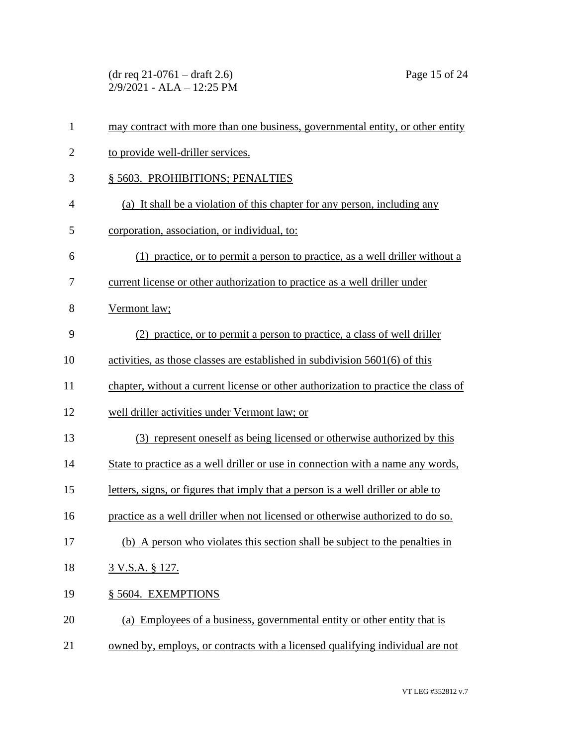(dr req 21-0761 – draft 2.6) Page 15 of 24 2/9/2021 - ALA – 12:25 PM

| $\mathbf{1}$   | may contract with more than one business, governmental entity, or other entity     |
|----------------|------------------------------------------------------------------------------------|
| $\overline{2}$ | to provide well-driller services.                                                  |
| 3              | § 5603. PROHIBITIONS; PENALTIES                                                    |
| $\overline{4}$ | (a) It shall be a violation of this chapter for any person, including any          |
| 5              | corporation, association, or individual, to:                                       |
| 6              | (1) practice, or to permit a person to practice, as a well driller without a       |
| 7              | current license or other authorization to practice as a well driller under         |
| 8              | Vermont law;                                                                       |
| 9              | (2) practice, or to permit a person to practice, a class of well driller           |
| 10             | activities, as those classes are established in subdivision 5601(6) of this        |
| 11             | chapter, without a current license or other authorization to practice the class of |
| 12             | well driller activities under Vermont law; or                                      |
| 13             | (3) represent oneself as being licensed or otherwise authorized by this            |
| 14             | State to practice as a well driller or use in connection with a name any words,    |
| 15             | letters, signs, or figures that imply that a person is a well driller or able to   |
| 16             | practice as a well driller when not licensed or otherwise authorized to do so.     |
| 17             | (b) A person who violates this section shall be subject to the penalties in        |
| 18             | <u>3 V.S.A. § 127.</u>                                                             |
| 19             | § 5604. EXEMPTIONS                                                                 |
| 20             | (a) Employees of a business, governmental entity or other entity that is           |
| 21             | owned by, employs, or contracts with a licensed qualifying individual are not      |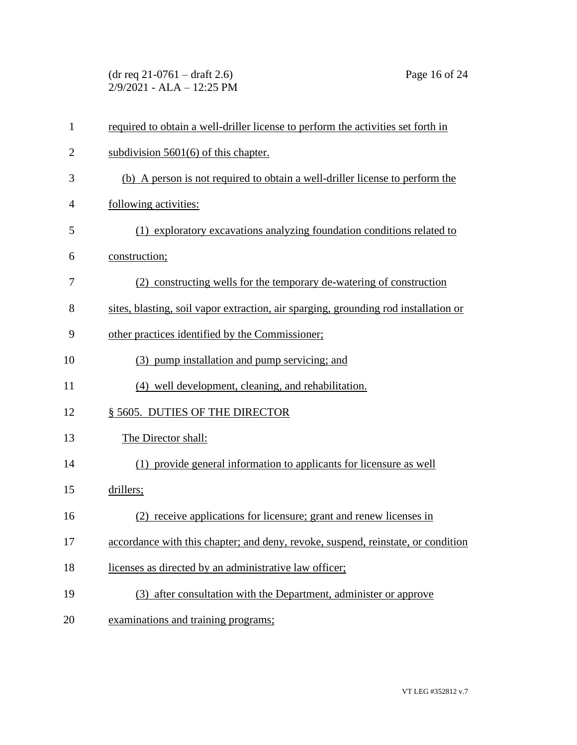(dr req 21-0761 – draft 2.6) Page 16 of 24 2/9/2021 - ALA – 12:25 PM

| $\mathbf{1}$   | required to obtain a well-driller license to perform the activities set forth in    |
|----------------|-------------------------------------------------------------------------------------|
| $\overline{2}$ | subdivision $5601(6)$ of this chapter.                                              |
| 3              | (b) A person is not required to obtain a well-driller license to perform the        |
| 4              | following activities:                                                               |
| 5              | (1) exploratory excavations analyzing foundation conditions related to              |
| 6              | construction;                                                                       |
| 7              | (2) constructing wells for the temporary de-watering of construction                |
| 8              | sites, blasting, soil vapor extraction, air sparging, grounding rod installation or |
| 9              | other practices identified by the Commissioner;                                     |
| 10             | (3) pump installation and pump servicing; and                                       |
| 11             | (4) well development, cleaning, and rehabilitation.                                 |
| 12             | § 5605. DUTIES OF THE DIRECTOR                                                      |
| 13             | The Director shall:                                                                 |
| 14             | (1) provide general information to applicants for licensure as well                 |
| 15             | drillers;                                                                           |
| 16             | (2) receive applications for licensure; grant and renew licenses in                 |
| 17             | accordance with this chapter; and deny, revoke, suspend, reinstate, or condition    |
| 18             | licenses as directed by an administrative law officer;                              |
| 19             | (3) after consultation with the Department, administer or approve                   |
| 20             | examinations and training programs;                                                 |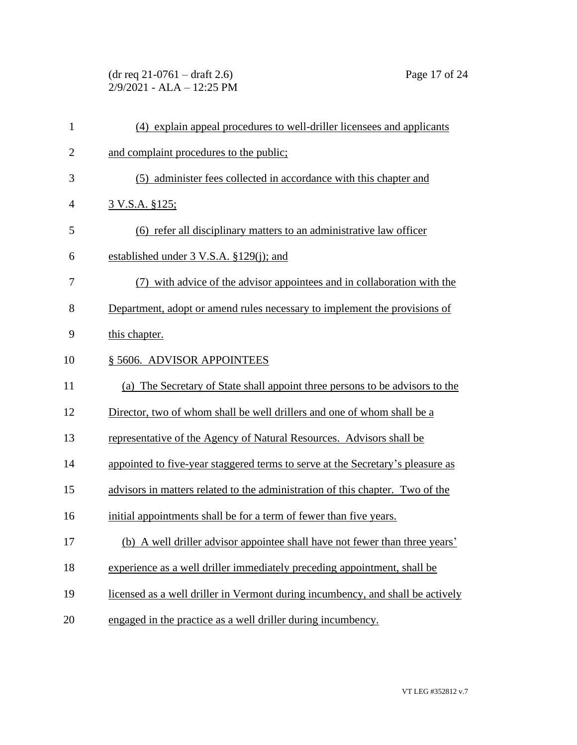| $(dr \text{ req } 21-0761 - draft 2.6)$ |  |
|-----------------------------------------|--|
| 2/9/2021 - ALA – 12:25 PM               |  |

| $\mathbf{1}$   | (4) explain appeal procedures to well-driller licensees and applicants         |
|----------------|--------------------------------------------------------------------------------|
| $\overline{2}$ | and complaint procedures to the public;                                        |
| 3              | (5) administer fees collected in accordance with this chapter and              |
| $\overline{4}$ | <u>3 V.S.A. §125;</u>                                                          |
| 5              | (6) refer all disciplinary matters to an administrative law officer            |
| 6              | established under $3$ V.S.A. $$129(i)$ ; and                                   |
| 7              | (7) with advice of the advisor appointees and in collaboration with the        |
| 8              | Department, adopt or amend rules necessary to implement the provisions of      |
| 9              | this chapter.                                                                  |
| 10             | § 5606. ADVISOR APPOINTEES                                                     |
| 11             | (a) The Secretary of State shall appoint three persons to be advisors to the   |
| 12             | Director, two of whom shall be well drillers and one of whom shall be a        |
| 13             | representative of the Agency of Natural Resources. Advisors shall be           |
| 14             | appointed to five-year staggered terms to serve at the Secretary's pleasure as |
| 15             | advisors in matters related to the administration of this chapter. Two of the  |
| 16             | initial appointments shall be for a term of fewer than five years.             |
| 17             | (b) A well driller advisor appointee shall have not fewer than three years'    |
| 18             | experience as a well driller immediately preceding appointment, shall be       |
| 19             | licensed as a well driller in Vermont during incumbency, and shall be actively |
| 20             | engaged in the practice as a well driller during incumbency.                   |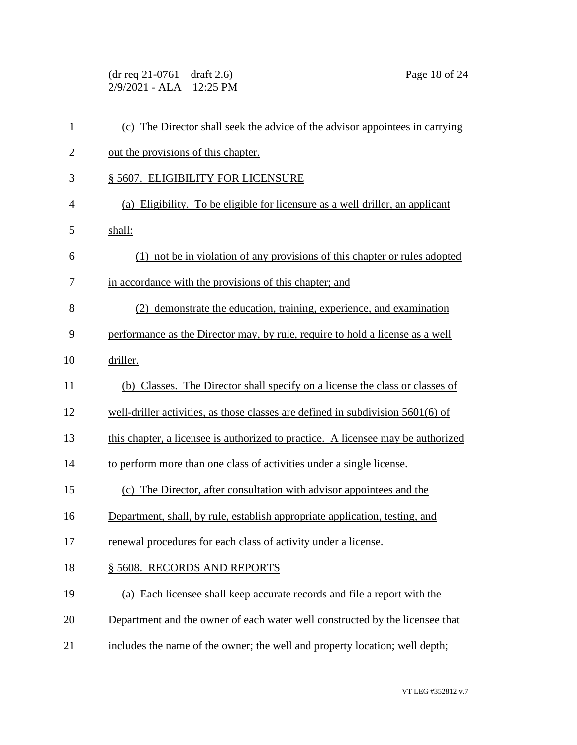(dr req 21-0761 – draft 2.6) Page 18 of 24 2/9/2021 - ALA – 12:25 PM

| (c) The Director shall seek the advice of the advisor appointees in carrying      |
|-----------------------------------------------------------------------------------|
| out the provisions of this chapter.                                               |
| § 5607. ELIGIBILITY FOR LICENSURE                                                 |
| (a) Eligibility. To be eligible for licensure as a well driller, an applicant     |
| shall:                                                                            |
| (1) not be in violation of any provisions of this chapter or rules adopted        |
| in accordance with the provisions of this chapter; and                            |
| (2) demonstrate the education, training, experience, and examination              |
| performance as the Director may, by rule, require to hold a license as a well     |
| driller.                                                                          |
| (b) Classes. The Director shall specify on a license the class or classes of      |
| well-driller activities, as those classes are defined in subdivision $5601(6)$ of |
| this chapter, a licensee is authorized to practice. A licensee may be authorized  |
| to perform more than one class of activities under a single license.              |
| (c) The Director, after consultation with advisor appointees and the              |
| Department, shall, by rule, establish appropriate application, testing, and       |
| renewal procedures for each class of activity under a license.                    |
| § 5608. RECORDS AND REPORTS                                                       |
| (a) Each licensee shall keep accurate records and file a report with the          |
| Department and the owner of each water well constructed by the licensee that      |
| includes the name of the owner; the well and property location; well depth;       |
|                                                                                   |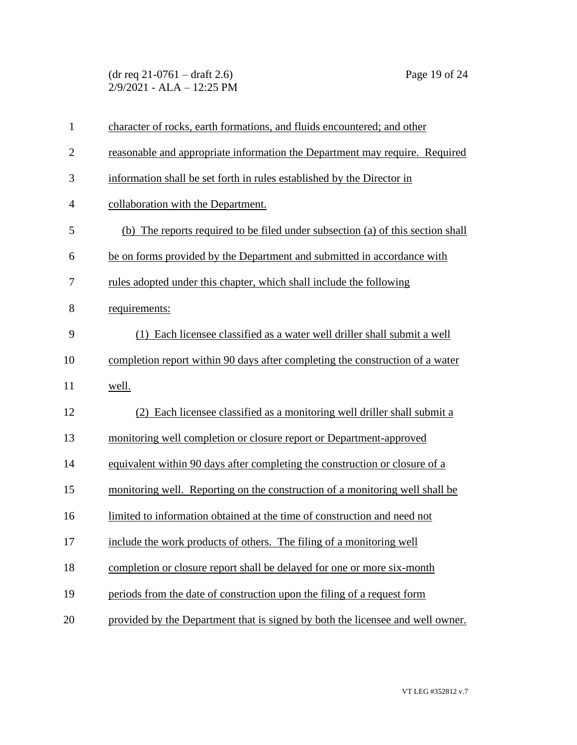(dr req 21-0761 – draft 2.6) Page 19 of 24 2/9/2021 - ALA – 12:25 PM

| $\mathbf{1}$   | character of rocks, earth formations, and fluids encountered; and other         |
|----------------|---------------------------------------------------------------------------------|
| $\overline{2}$ | reasonable and appropriate information the Department may require. Required     |
| 3              | information shall be set forth in rules established by the Director in          |
| $\overline{4}$ | collaboration with the Department.                                              |
| 5              | (b) The reports required to be filed under subsection (a) of this section shall |
| 6              | be on forms provided by the Department and submitted in accordance with         |
| 7              | rules adopted under this chapter, which shall include the following             |
| 8              | requirements:                                                                   |
| 9              | (1) Each licensee classified as a water well driller shall submit a well        |
| 10             | completion report within 90 days after completing the construction of a water   |
| 11             | well.                                                                           |
| 12             | (2) Each licensee classified as a monitoring well driller shall submit a        |
| 13             | monitoring well completion or closure report or Department-approved             |
| 14             | equivalent within 90 days after completing the construction or closure of a     |
| 15             | monitoring well. Reporting on the construction of a monitoring well shall be    |
| 16             | limited to information obtained at the time of construction and need not        |
| 17             | include the work products of others. The filing of a monitoring well            |
| 18             | completion or closure report shall be delayed for one or more six-month         |
| 19             | periods from the date of construction upon the filing of a request form         |
| 20             | provided by the Department that is signed by both the licensee and well owner.  |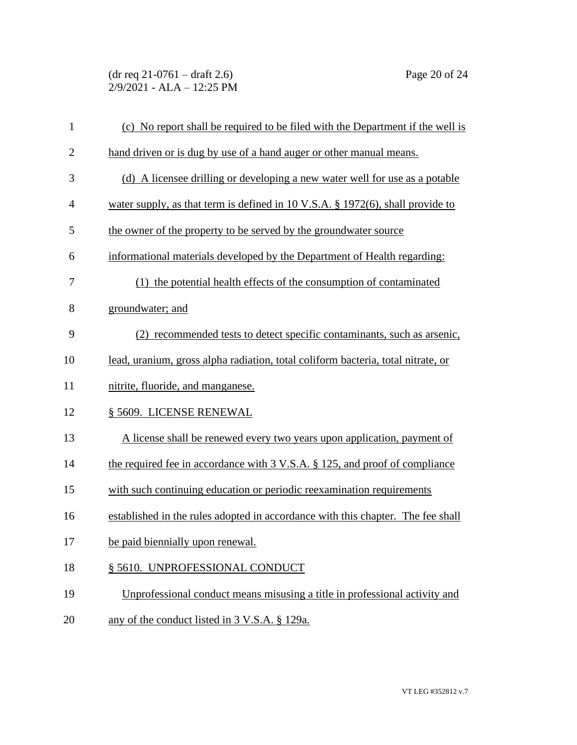(dr req 21-0761 – draft 2.6) Page 20 of 24 2/9/2021 - ALA – 12:25 PM

| $\mathbf{1}$ | (c) No report shall be required to be filed with the Department if the well is    |
|--------------|-----------------------------------------------------------------------------------|
| $\mathbf{2}$ | hand driven or is dug by use of a hand auger or other manual means.               |
| 3            | (d) A licensee drilling or developing a new water well for use as a potable       |
| 4            | water supply, as that term is defined in 10 V.S.A. $\S$ 1972(6), shall provide to |
| 5            | the owner of the property to be served by the groundwater source                  |
| 6            | informational materials developed by the Department of Health regarding:          |
| 7            | (1) the potential health effects of the consumption of contaminated               |
| 8            | groundwater; and                                                                  |
| 9            | (2) recommended tests to detect specific contaminants, such as arsenic,           |
| 10           | lead, uranium, gross alpha radiation, total coliform bacteria, total nitrate, or  |
| 11           | nitrite, fluoride, and manganese.                                                 |
| 12           | § 5609. LICENSE RENEWAL                                                           |
| 13           | A license shall be renewed every two years upon application, payment of           |
| 14           | the required fee in accordance with 3 V.S.A. § 125, and proof of compliance       |
| 15           | with such continuing education or periodic reexamination requirements             |
| 16           | established in the rules adopted in accordance with this chapter. The fee shall   |
| 17           | be paid biennially upon renewal.                                                  |
| 18           | § 5610. UNPROFESSIONAL CONDUCT                                                    |
| 19           | Unprofessional conduct means misusing a title in professional activity and        |
| 20           | any of the conduct listed in 3 V.S.A. § 129a.                                     |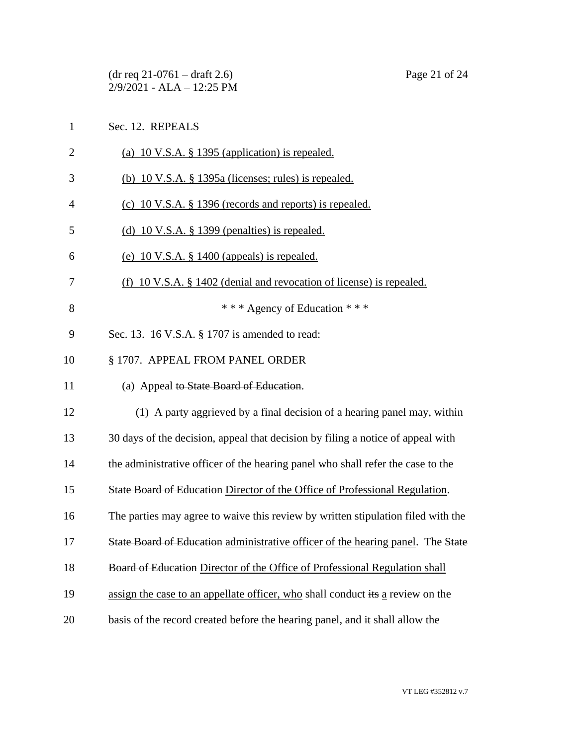|                | Page 21 of 24<br>$(dr \text{ req } 21-0761 - draft 2.6)$<br>2/9/2021 - ALA - 12:25 PM |
|----------------|---------------------------------------------------------------------------------------|
| $\mathbf{1}$   | Sec. 12. REPEALS                                                                      |
| $\overline{2}$ | (a) 10 V.S.A. § 1395 (application) is repealed.                                       |
| 3              | (b) $10 \text{ V.S.A. }$ § 1395a (licenses; rules) is repealed.                       |
| 4              | (c) 10 V.S.A. § 1396 (records and reports) is repealed.                               |
| 5              | (d) 10 V.S.A. $\S$ 1399 (penalties) is repealed.                                      |
| 6              | (e) $10 \text{ V.S.A. }$ § $1400$ (appeals) is repealed.                              |
| 7              | $(f)$ 10 V.S.A. § 1402 (denial and revocation of license) is repealed.                |
| 8              | *** Agency of Education ***                                                           |
| 9              | Sec. 13. 16 V.S.A. § 1707 is amended to read:                                         |
| 10             | § 1707. APPEAL FROM PANEL ORDER                                                       |
| 11             | (a) Appeal to State Board of Education.                                               |
| 12             | (1) A party aggrieved by a final decision of a hearing panel may, within              |
| 13             | 30 days of the decision, appeal that decision by filing a notice of appeal with       |
| 14             | the administrative officer of the hearing panel who shall refer the case to the       |
| 15             | State Board of Education Director of the Office of Professional Regulation.           |
| 16             | The parties may agree to waive this review by written stipulation filed with the      |
| 17             | State Board of Education administrative officer of the hearing panel. The State       |
| 18             | Board of Education Director of the Office of Professional Regulation shall            |
| 19             | assign the case to an appellate officer, who shall conduct its a review on the        |
| 20             | basis of the record created before the hearing panel, and it shall allow the          |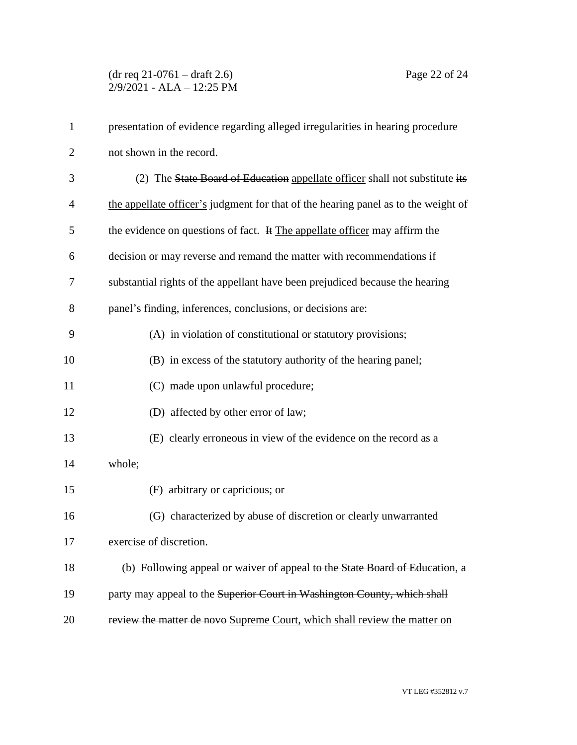| $\mathbf{1}$   | presentation of evidence regarding alleged irregularities in hearing procedure     |
|----------------|------------------------------------------------------------------------------------|
| $\overline{2}$ | not shown in the record.                                                           |
| 3              | (2) The State Board of Education appellate officer shall not substitute its        |
| $\overline{4}$ | the appellate officer's judgment for that of the hearing panel as to the weight of |
| 5              | the evidence on questions of fact. It The appellate officer may affirm the         |
| 6              | decision or may reverse and remand the matter with recommendations if              |
| 7              | substantial rights of the appellant have been prejudiced because the hearing       |
| 8              | panel's finding, inferences, conclusions, or decisions are:                        |
| 9              | (A) in violation of constitutional or statutory provisions;                        |
| 10             | (B) in excess of the statutory authority of the hearing panel;                     |
| 11             | (C) made upon unlawful procedure;                                                  |
| 12             | (D) affected by other error of law;                                                |
| 13             | (E) clearly erroneous in view of the evidence on the record as a                   |
| 14             | whole;                                                                             |
| 15             | (F) arbitrary or capricious; or                                                    |
| 16             | (G) characterized by abuse of discretion or clearly unwarranted                    |
| 17             | exercise of discretion.                                                            |
| 18             | (b) Following appeal or waiver of appeal to the State Board of Education, a        |
| 19             | party may appeal to the Superior Court in Washington County, which shall           |
| 20             | review the matter de novo Supreme Court, which shall review the matter on          |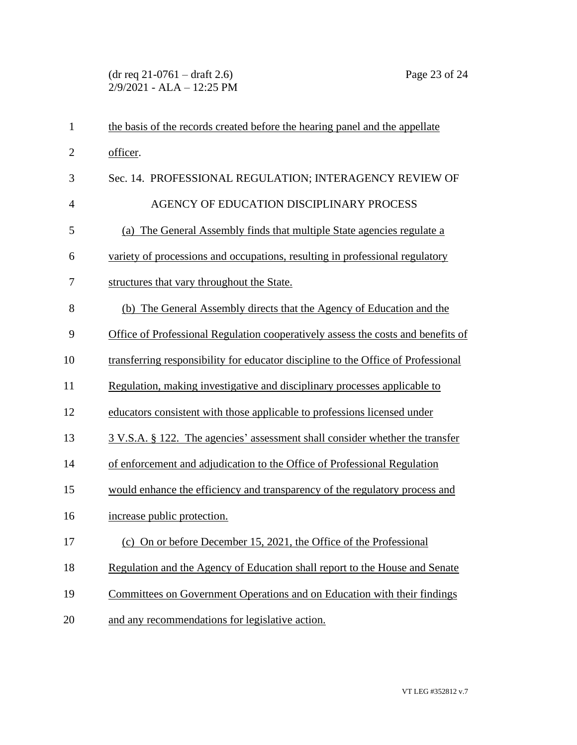| $\mathbf{1}$   | the basis of the records created before the hearing panel and the appellate       |
|----------------|-----------------------------------------------------------------------------------|
| $\overline{2}$ | officer.                                                                          |
| 3              | Sec. 14. PROFESSIONAL REGULATION; INTERAGENCY REVIEW OF                           |
| $\overline{4}$ | AGENCY OF EDUCATION DISCIPLINARY PROCESS                                          |
| 5              | (a) The General Assembly finds that multiple State agencies regulate a            |
| 6              | variety of processions and occupations, resulting in professional regulatory      |
| 7              | structures that vary throughout the State.                                        |
| 8              | (b) The General Assembly directs that the Agency of Education and the             |
| 9              | Office of Professional Regulation cooperatively assess the costs and benefits of  |
| 10             | transferring responsibility for educator discipline to the Office of Professional |
| 11             | Regulation, making investigative and disciplinary processes applicable to         |
| 12             | educators consistent with those applicable to professions licensed under          |
| 13             | 3 V.S.A. § 122. The agencies' assessment shall consider whether the transfer      |
| 14             | of enforcement and adjudication to the Office of Professional Regulation          |
| 15             | would enhance the efficiency and transparency of the regulatory process and       |
| 16             | increase public protection.                                                       |
| 17             | (c) On or before December 15, 2021, the Office of the Professional                |
| 18             | Regulation and the Agency of Education shall report to the House and Senate       |
| 19             | Committees on Government Operations and on Education with their findings          |
| 20             | and any recommendations for legislative action.                                   |